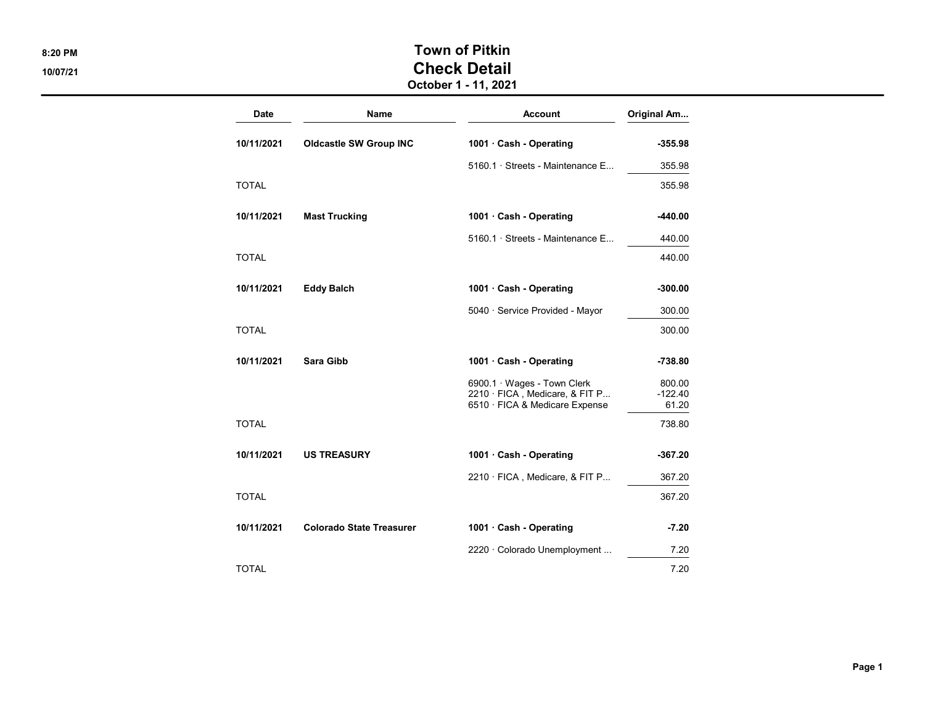## 8:20 PM SALL SERVICES AND TOWN OF PITKIN 10/07/21 Check Detail

October 1 - 11, 2021

| <b>Date</b>  | <b>Name</b>                     | <b>Account</b>                                                   | Original Am        |
|--------------|---------------------------------|------------------------------------------------------------------|--------------------|
| 10/11/2021   | <b>Oldcastle SW Group INC</b>   | 1001 Cash - Operating                                            | $-355.98$          |
|              |                                 | 5160.1 · Streets - Maintenance E                                 | 355.98             |
| <b>TOTAL</b> |                                 |                                                                  | 355.98             |
| 10/11/2021   | <b>Mast Trucking</b>            | 1001 Cash - Operating                                            | -440.00            |
|              |                                 | 5160.1 · Streets - Maintenance E                                 | 440.00             |
| TOTAL        |                                 |                                                                  | 440.00             |
| 10/11/2021   | <b>Eddy Balch</b>               | 1001 Cash - Operating                                            | $-300.00$          |
|              |                                 | 5040 · Service Provided - Mayor                                  | 300.00             |
| <b>TOTAL</b> |                                 |                                                                  | 300.00             |
| 10/11/2021   | Sara Gibb                       | 1001 Cash - Operating                                            | -738.80            |
|              |                                 | 6900.1 · Wages - Town Clerk                                      | 800.00             |
|              |                                 | 2210 · FICA, Medicare, & FIT P<br>6510 · FICA & Medicare Expense | $-122.40$<br>61.20 |
| <b>TOTAL</b> |                                 |                                                                  | 738.80             |
| 10/11/2021   | <b>US TREASURY</b>              | 1001 Cash - Operating                                            | -367.20            |
|              |                                 | 2210 · FICA, Medicare, & FIT P                                   | 367.20             |
| <b>TOTAL</b> |                                 |                                                                  | 367.20             |
| 10/11/2021   | <b>Colorado State Treasurer</b> | 1001 Cash - Operating                                            | $-7.20$            |
|              |                                 | 2220 · Colorado Unemployment                                     | 7.20               |
| <b>TOTAL</b> |                                 |                                                                  | 7.20               |